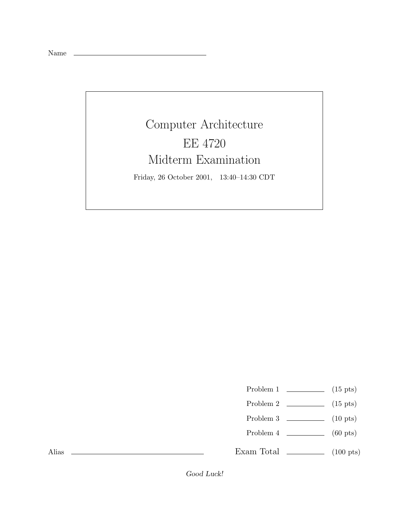Name

Computer Architecture EE 4720 Midterm Examination Friday, 26 October 2001, 13:40–14:30 CDT

Problem 1  $\qquad \qquad$  (15 pts)

- Problem 2  $\qquad \qquad$  (15 pts)
- Problem 3 (10 pts)
- Problem 4 (60 pts)

Exam Total  $\qquad \qquad$  (100 pts)

Alias

Good Luck!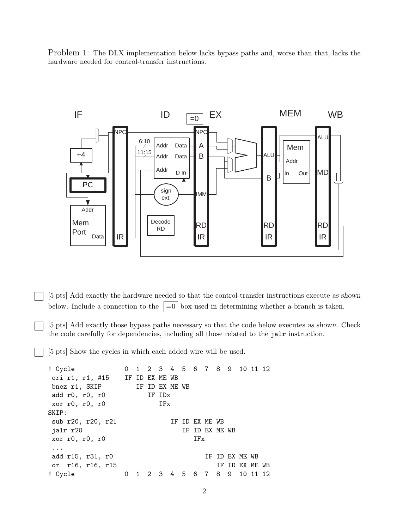Problem 1: The DLX implementation below lacks bypass paths and, worse than that, lacks the hardware needed for control-transfer instructions.



[5 pts] Add exactly the hardware needed so that the control-transfer instructions execute as shown below. Include a connection to the  $\vert =0 \vert$  box used in determining whether a branch is taken.

[5 pts] Add exactly those bypass paths necessary so that the code below executes as shown. Check the code carefully for dependencies, including all those related to the jalr instruction.

[5 pts] Show the cycles in which each added wire will be used.

```
! Cycle 0 1 2 3 4 5 6 7 8 9 10 11 12
ori r1, r1, #15 IF ID EX ME WB
bnez r1, SKIP IF ID EX ME WB
add r0, r0, r0 IF IDx
xor r0, r0, r0 IFx
SKIP:
sub r20, r20, r21 IF ID EX ME WB
jalr r20 IF ID EX ME WB
xor r0, r0, r0 IFx
...
add r15, r31, r0 IF ID EX ME WB
or r16, r16, r15 IF ID EX ME WB
! Cycle 0 1 2 3 4 5 6 7 8 9 10 11 12
```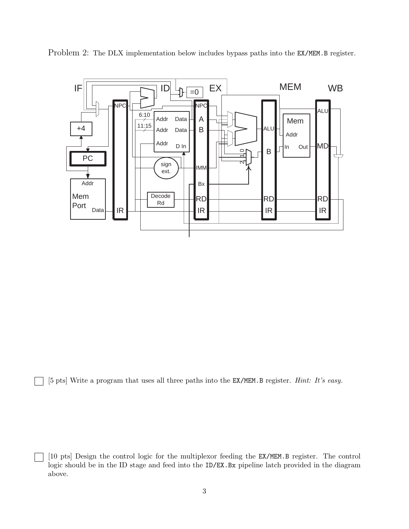

Problem 2: The DLX implementation below includes bypass paths into the EX/MEM.B register.

[5 pts] Write a program that uses all three paths into the EX/MEM.B register. *Hint: It's easy.*

[10 pts] Design the control logic for the multiplexor feeding the EX/MEM.B register. The control logic should be in the ID stage and feed into the ID/EX.Bx pipeline latch provided in the diagram above.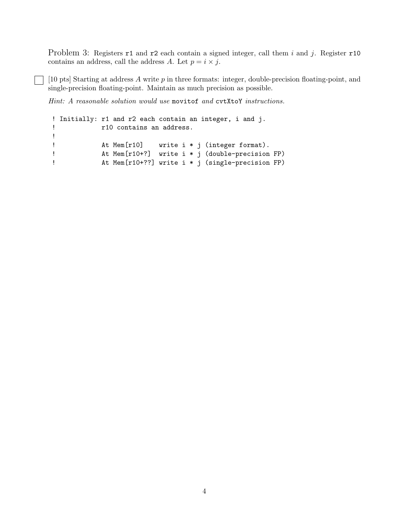Problem 3: Registers r1 and r2 each contain a signed integer, call them i and j. Register r10 contains an address, call the address A. Let  $p = i \times j$ .

 $\Box$  [10 pts] Starting at address A write p in three formats: integer, double-precision floating-point, and single-precision floating-point. Maintain as much precision as possible.

*Hint: A reasonable solution would use* movitof *and* cvtXtoY *instructions.*

```
! Initially: r1 and r2 each contain an integer, i and j.
! r10 contains an address.
!
! At Mem[r10] write i * j (integer format).
! At Mem[r10+?] write i * j (double-precision FP)
! At Mem[r10+??] write i * j (single-precision FP)
```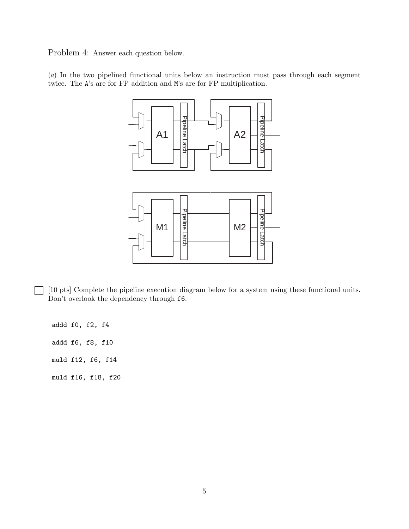Problem 4: Answer each question below.

(*a*) In the two pipelined functional units below an instruction must pass through each segment twice. The A's are for FP addition and M's are for FP multiplication.



[10 pts] Complete the pipeline execution diagram below for a system using these functional units. Don't overlook the dependency through f6.

addd f0, f2, f4 addd f6, f8, f10 muld f12, f6, f14 muld f16, f18, f20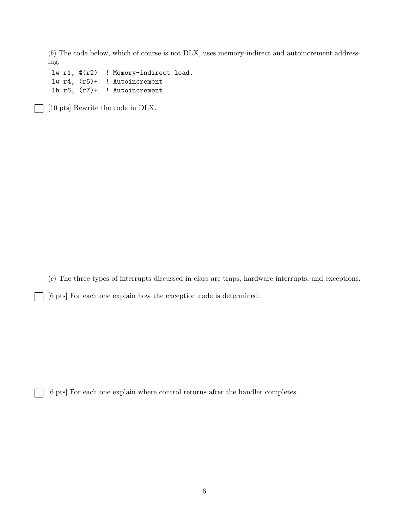(*b*) The code below, which of course is not DLX, uses memory-indirect and autoincrement addressing.

lw r1, @(r2) ! Memory-indirect load. lw r4, (r5)+ ! Autoincrement lh r6, (r7)+ ! Autoincrement

[10 pts] Rewrite the code in DLX.

(*c*) The three types of interrupts discussed in class are traps, hardware interrupts, and exceptions.

[6 pts] For each one explain how the exception code is determined.

[6 pts] For each one explain where control returns after the handler completes.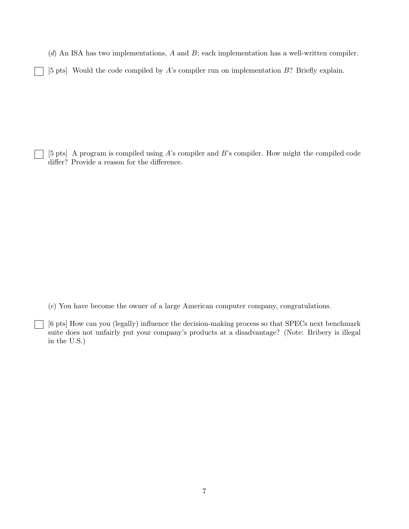(*d*) An ISA has two implementations, A and B; each implementation has a well-written compiler.

[5 pts] Would the code compiled by A's compiler run on implementation B? Briefly explain.

[5 pts] A program is compiled using A's compiler and B's compiler. How might the compiled code differ? Provide a reason for the difference.

(*e*) You have become the owner of a large American computer company, congratulations.

 $\mathbf{I}$ 

[6 pts] How can you (legally) influence the decision-making process so that SPECs next benchmark suite does not unfairly put your company's products at a disadvantage? (Note: Bribery is illegal in the U.S.)